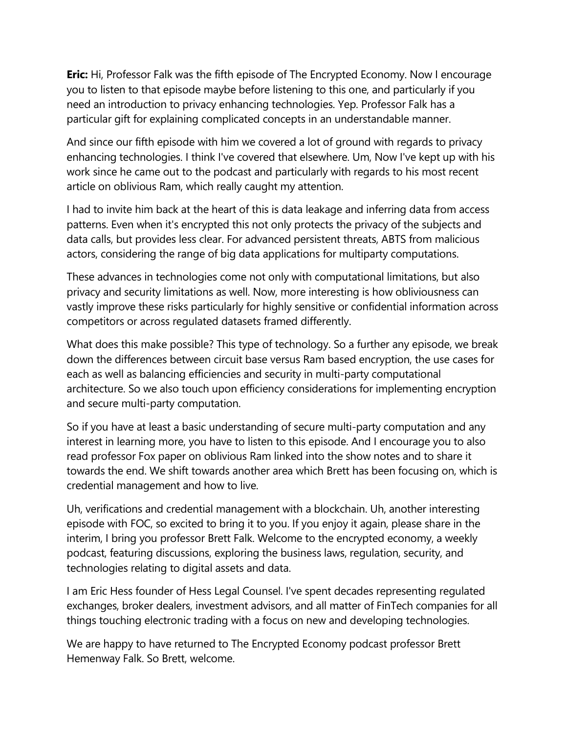**Eric:** Hi, Professor Falk was the fifth episode of The Encrypted Economy. Now I encourage you to listen to that episode maybe before listening to this one, and particularly if you need an introduction to privacy enhancing technologies. Yep. Professor Falk has a particular gift for explaining complicated concepts in an understandable manner.

And since our fifth episode with him we covered a lot of ground with regards to privacy enhancing technologies. I think I've covered that elsewhere. Um, Now I've kept up with his work since he came out to the podcast and particularly with regards to his most recent article on oblivious Ram, which really caught my attention.

I had to invite him back at the heart of this is data leakage and inferring data from access patterns. Even when it's encrypted this not only protects the privacy of the subjects and data calls, but provides less clear. For advanced persistent threats, ABTS from malicious actors, considering the range of big data applications for multiparty computations.

These advances in technologies come not only with computational limitations, but also privacy and security limitations as well. Now, more interesting is how obliviousness can vastly improve these risks particularly for highly sensitive or confidential information across competitors or across regulated datasets framed differently.

What does this make possible? This type of technology. So a further any episode, we break down the differences between circuit base versus Ram based encryption, the use cases for each as well as balancing efficiencies and security in multi-party computational architecture. So we also touch upon efficiency considerations for implementing encryption and secure multi-party computation.

So if you have at least a basic understanding of secure multi-party computation and any interest in learning more, you have to listen to this episode. And I encourage you to also read professor Fox paper on oblivious Ram linked into the show notes and to share it towards the end. We shift towards another area which Brett has been focusing on, which is credential management and how to live.

Uh, verifications and credential management with a blockchain. Uh, another interesting episode with FOC, so excited to bring it to you. If you enjoy it again, please share in the interim, I bring you professor Brett Falk. Welcome to the encrypted economy, a weekly podcast, featuring discussions, exploring the business laws, regulation, security, and technologies relating to digital assets and data.

I am Eric Hess founder of Hess Legal Counsel. I've spent decades representing regulated exchanges, broker dealers, investment advisors, and all matter of FinTech companies for all things touching electronic trading with a focus on new and developing technologies.

We are happy to have returned to The Encrypted Economy podcast professor Brett Hemenway Falk. So Brett, welcome.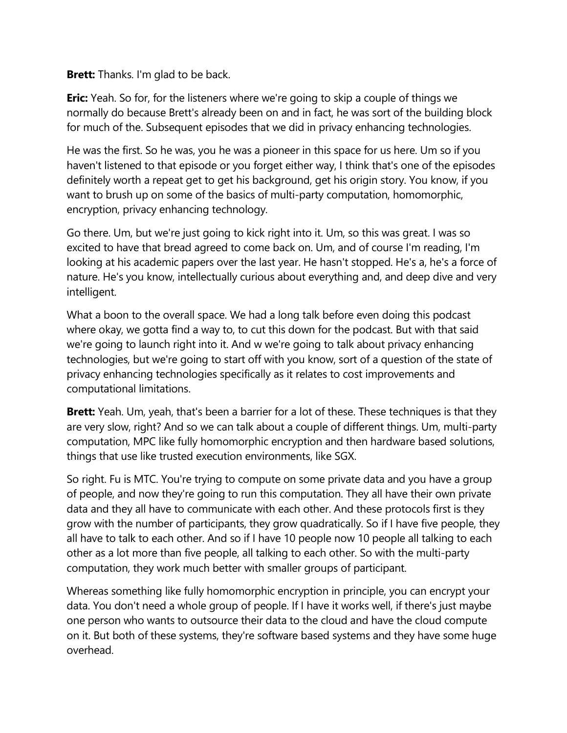**Brett:** Thanks. I'm glad to be back.

**Eric:** Yeah. So for, for the listeners where we're going to skip a couple of things we normally do because Brett's already been on and in fact, he was sort of the building block for much of the. Subsequent episodes that we did in privacy enhancing technologies.

He was the first. So he was, you he was a pioneer in this space for us here. Um so if you haven't listened to that episode or you forget either way, I think that's one of the episodes definitely worth a repeat get to get his background, get his origin story. You know, if you want to brush up on some of the basics of multi-party computation, homomorphic, encryption, privacy enhancing technology.

Go there. Um, but we're just going to kick right into it. Um, so this was great. I was so excited to have that bread agreed to come back on. Um, and of course I'm reading, I'm looking at his academic papers over the last year. He hasn't stopped. He's a, he's a force of nature. He's you know, intellectually curious about everything and, and deep dive and very intelligent.

What a boon to the overall space. We had a long talk before even doing this podcast where okay, we gotta find a way to, to cut this down for the podcast. But with that said we're going to launch right into it. And w we're going to talk about privacy enhancing technologies, but we're going to start off with you know, sort of a question of the state of privacy enhancing technologies specifically as it relates to cost improvements and computational limitations.

**Brett:** Yeah. Um, yeah, that's been a barrier for a lot of these. These techniques is that they are very slow, right? And so we can talk about a couple of different things. Um, multi-party computation, MPC like fully homomorphic encryption and then hardware based solutions, things that use like trusted execution environments, like SGX.

So right. Fu is MTC. You're trying to compute on some private data and you have a group of people, and now they're going to run this computation. They all have their own private data and they all have to communicate with each other. And these protocols first is they grow with the number of participants, they grow quadratically. So if I have five people, they all have to talk to each other. And so if I have 10 people now 10 people all talking to each other as a lot more than five people, all talking to each other. So with the multi-party computation, they work much better with smaller groups of participant.

Whereas something like fully homomorphic encryption in principle, you can encrypt your data. You don't need a whole group of people. If I have it works well, if there's just maybe one person who wants to outsource their data to the cloud and have the cloud compute on it. But both of these systems, they're software based systems and they have some huge overhead.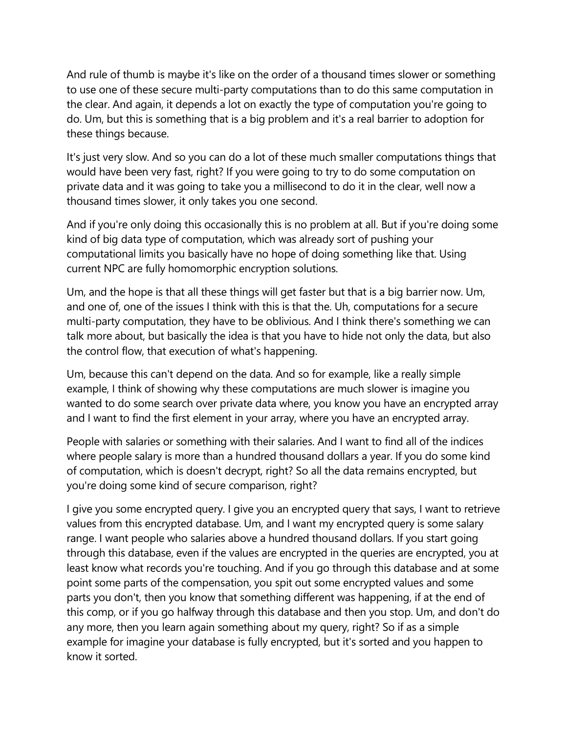And rule of thumb is maybe it's like on the order of a thousand times slower or something to use one of these secure multi-party computations than to do this same computation in the clear. And again, it depends a lot on exactly the type of computation you're going to do. Um, but this is something that is a big problem and it's a real barrier to adoption for these things because.

It's just very slow. And so you can do a lot of these much smaller computations things that would have been very fast, right? If you were going to try to do some computation on private data and it was going to take you a millisecond to do it in the clear, well now a thousand times slower, it only takes you one second.

And if you're only doing this occasionally this is no problem at all. But if you're doing some kind of big data type of computation, which was already sort of pushing your computational limits you basically have no hope of doing something like that. Using current NPC are fully homomorphic encryption solutions.

Um, and the hope is that all these things will get faster but that is a big barrier now. Um, and one of, one of the issues I think with this is that the. Uh, computations for a secure multi-party computation, they have to be oblivious. And I think there's something we can talk more about, but basically the idea is that you have to hide not only the data, but also the control flow, that execution of what's happening.

Um, because this can't depend on the data. And so for example, like a really simple example, I think of showing why these computations are much slower is imagine you wanted to do some search over private data where, you know you have an encrypted array and I want to find the first element in your array, where you have an encrypted array.

People with salaries or something with their salaries. And I want to find all of the indices where people salary is more than a hundred thousand dollars a year. If you do some kind of computation, which is doesn't decrypt, right? So all the data remains encrypted, but you're doing some kind of secure comparison, right?

I give you some encrypted query. I give you an encrypted query that says, I want to retrieve values from this encrypted database. Um, and I want my encrypted query is some salary range. I want people who salaries above a hundred thousand dollars. If you start going through this database, even if the values are encrypted in the queries are encrypted, you at least know what records you're touching. And if you go through this database and at some point some parts of the compensation, you spit out some encrypted values and some parts you don't, then you know that something different was happening, if at the end of this comp, or if you go halfway through this database and then you stop. Um, and don't do any more, then you learn again something about my query, right? So if as a simple example for imagine your database is fully encrypted, but it's sorted and you happen to know it sorted.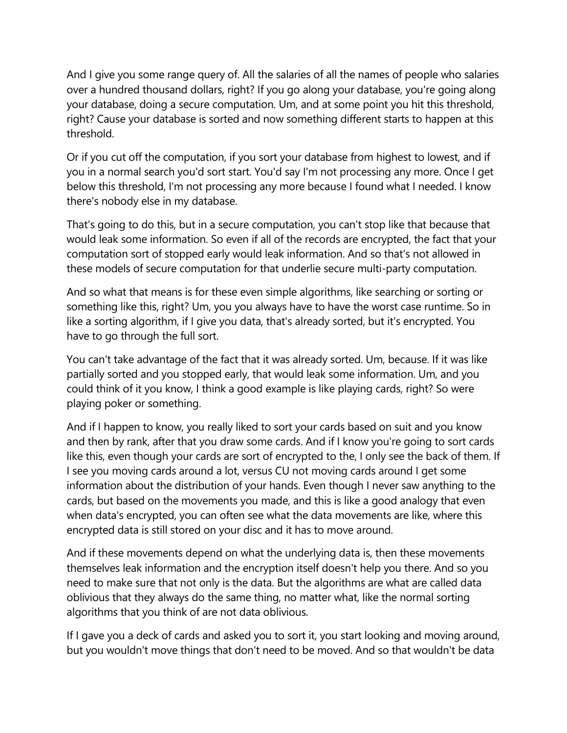And I give you some range query of. All the salaries of all the names of people who salaries over a hundred thousand dollars, right? If you go along your database, you're going along your database, doing a secure computation. Um, and at some point you hit this threshold, right? Cause your database is sorted and now something different starts to happen at this threshold.

Or if you cut off the computation, if you sort your database from highest to lowest, and if you in a normal search you'd sort start. You'd say I'm not processing any more. Once I get below this threshold, I'm not processing any more because I found what I needed. I know there's nobody else in my database.

That's going to do this, but in a secure computation, you can't stop like that because that would leak some information. So even if all of the records are encrypted, the fact that your computation sort of stopped early would leak information. And so that's not allowed in these models of secure computation for that underlie secure multi-party computation.

And so what that means is for these even simple algorithms, like searching or sorting or something like this, right? Um, you you always have to have the worst case runtime. So in like a sorting algorithm, if I give you data, that's already sorted, but it's encrypted. You have to go through the full sort.

You can't take advantage of the fact that it was already sorted. Um, because. If it was like partially sorted and you stopped early, that would leak some information. Um, and you could think of it you know, I think a good example is like playing cards, right? So were playing poker or something.

And if I happen to know, you really liked to sort your cards based on suit and you know and then by rank, after that you draw some cards. And if I know you're going to sort cards like this, even though your cards are sort of encrypted to the, I only see the back of them. If I see you moving cards around a lot, versus CU not moving cards around I get some information about the distribution of your hands. Even though I never saw anything to the cards, but based on the movements you made, and this is like a good analogy that even when data's encrypted, you can often see what the data movements are like, where this encrypted data is still stored on your disc and it has to move around.

And if these movements depend on what the underlying data is, then these movements themselves leak information and the encryption itself doesn't help you there. And so you need to make sure that not only is the data. But the algorithms are what are called data oblivious that they always do the same thing, no matter what, like the normal sorting algorithms that you think of are not data oblivious.

If I gave you a deck of cards and asked you to sort it, you start looking and moving around, but you wouldn't move things that don't need to be moved. And so that wouldn't be data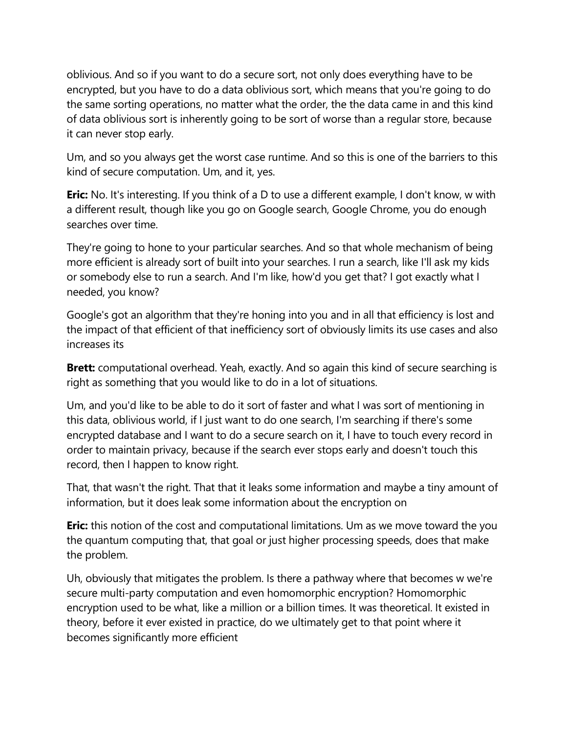oblivious. And so if you want to do a secure sort, not only does everything have to be encrypted, but you have to do a data oblivious sort, which means that you're going to do the same sorting operations, no matter what the order, the the data came in and this kind of data oblivious sort is inherently going to be sort of worse than a regular store, because it can never stop early.

Um, and so you always get the worst case runtime. And so this is one of the barriers to this kind of secure computation. Um, and it, yes.

**Eric:** No. It's interesting. If you think of a D to use a different example, I don't know, w with a different result, though like you go on Google search, Google Chrome, you do enough searches over time.

They're going to hone to your particular searches. And so that whole mechanism of being more efficient is already sort of built into your searches. I run a search, like I'll ask my kids or somebody else to run a search. And I'm like, how'd you get that? I got exactly what I needed, you know?

Google's got an algorithm that they're honing into you and in all that efficiency is lost and the impact of that efficient of that inefficiency sort of obviously limits its use cases and also increases its

**Brett:** computational overhead. Yeah, exactly. And so again this kind of secure searching is right as something that you would like to do in a lot of situations.

Um, and you'd like to be able to do it sort of faster and what I was sort of mentioning in this data, oblivious world, if I just want to do one search, I'm searching if there's some encrypted database and I want to do a secure search on it, I have to touch every record in order to maintain privacy, because if the search ever stops early and doesn't touch this record, then I happen to know right.

That, that wasn't the right. That that it leaks some information and maybe a tiny amount of information, but it does leak some information about the encryption on

**Eric:** this notion of the cost and computational limitations. Um as we move toward the you the quantum computing that, that goal or just higher processing speeds, does that make the problem.

Uh, obviously that mitigates the problem. Is there a pathway where that becomes w we're secure multi-party computation and even homomorphic encryption? Homomorphic encryption used to be what, like a million or a billion times. It was theoretical. It existed in theory, before it ever existed in practice, do we ultimately get to that point where it becomes significantly more efficient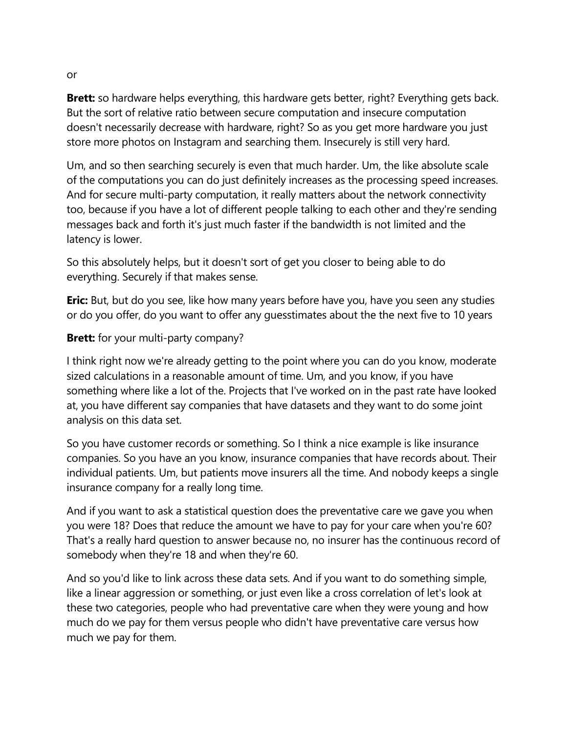**Brett:** so hardware helps everything, this hardware gets better, right? Everything gets back. But the sort of relative ratio between secure computation and insecure computation doesn't necessarily decrease with hardware, right? So as you get more hardware you just store more photos on Instagram and searching them. Insecurely is still very hard.

Um, and so then searching securely is even that much harder. Um, the like absolute scale of the computations you can do just definitely increases as the processing speed increases. And for secure multi-party computation, it really matters about the network connectivity too, because if you have a lot of different people talking to each other and they're sending messages back and forth it's just much faster if the bandwidth is not limited and the latency is lower.

So this absolutely helps, but it doesn't sort of get you closer to being able to do everything. Securely if that makes sense.

**Eric:** But, but do you see, like how many years before have you, have you seen any studies or do you offer, do you want to offer any guesstimates about the the next five to 10 years

### **Brett:** for your multi-party company?

I think right now we're already getting to the point where you can do you know, moderate sized calculations in a reasonable amount of time. Um, and you know, if you have something where like a lot of the. Projects that I've worked on in the past rate have looked at, you have different say companies that have datasets and they want to do some joint analysis on this data set.

So you have customer records or something. So I think a nice example is like insurance companies. So you have an you know, insurance companies that have records about. Their individual patients. Um, but patients move insurers all the time. And nobody keeps a single insurance company for a really long time.

And if you want to ask a statistical question does the preventative care we gave you when you were 18? Does that reduce the amount we have to pay for your care when you're 60? That's a really hard question to answer because no, no insurer has the continuous record of somebody when they're 18 and when they're 60.

And so you'd like to link across these data sets. And if you want to do something simple, like a linear aggression or something, or just even like a cross correlation of let's look at these two categories, people who had preventative care when they were young and how much do we pay for them versus people who didn't have preventative care versus how much we pay for them.

or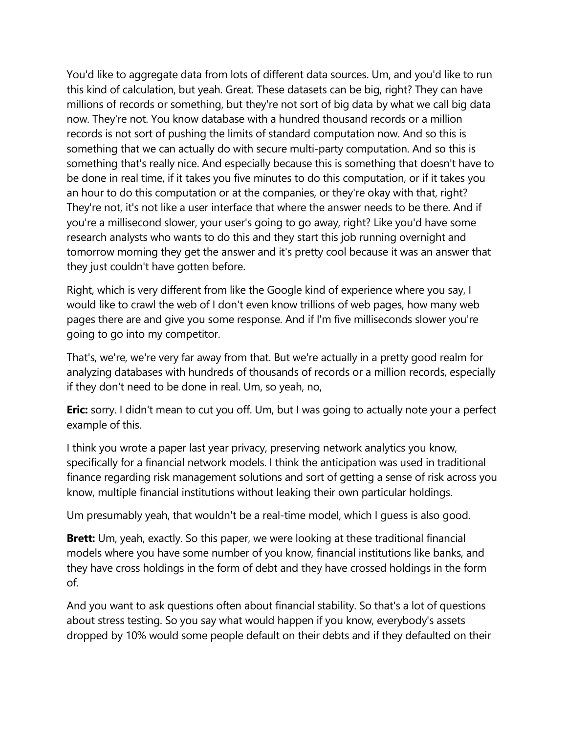You'd like to aggregate data from lots of different data sources. Um, and you'd like to run this kind of calculation, but yeah. Great. These datasets can be big, right? They can have millions of records or something, but they're not sort of big data by what we call big data now. They're not. You know database with a hundred thousand records or a million records is not sort of pushing the limits of standard computation now. And so this is something that we can actually do with secure multi-party computation. And so this is something that's really nice. And especially because this is something that doesn't have to be done in real time, if it takes you five minutes to do this computation, or if it takes you an hour to do this computation or at the companies, or they're okay with that, right? They're not, it's not like a user interface that where the answer needs to be there. And if you're a millisecond slower, your user's going to go away, right? Like you'd have some research analysts who wants to do this and they start this job running overnight and tomorrow morning they get the answer and it's pretty cool because it was an answer that they just couldn't have gotten before.

Right, which is very different from like the Google kind of experience where you say, I would like to crawl the web of I don't even know trillions of web pages, how many web pages there are and give you some response. And if I'm five milliseconds slower you're going to go into my competitor.

That's, we're, we're very far away from that. But we're actually in a pretty good realm for analyzing databases with hundreds of thousands of records or a million records, especially if they don't need to be done in real. Um, so yeah, no,

**Eric:** sorry. I didn't mean to cut you off. Um, but I was going to actually note your a perfect example of this.

I think you wrote a paper last year privacy, preserving network analytics you know, specifically for a financial network models. I think the anticipation was used in traditional finance regarding risk management solutions and sort of getting a sense of risk across you know, multiple financial institutions without leaking their own particular holdings.

Um presumably yeah, that wouldn't be a real-time model, which I guess is also good.

**Brett:** Um, yeah, exactly. So this paper, we were looking at these traditional financial models where you have some number of you know, financial institutions like banks, and they have cross holdings in the form of debt and they have crossed holdings in the form of.

And you want to ask questions often about financial stability. So that's a lot of questions about stress testing. So you say what would happen if you know, everybody's assets dropped by 10% would some people default on their debts and if they defaulted on their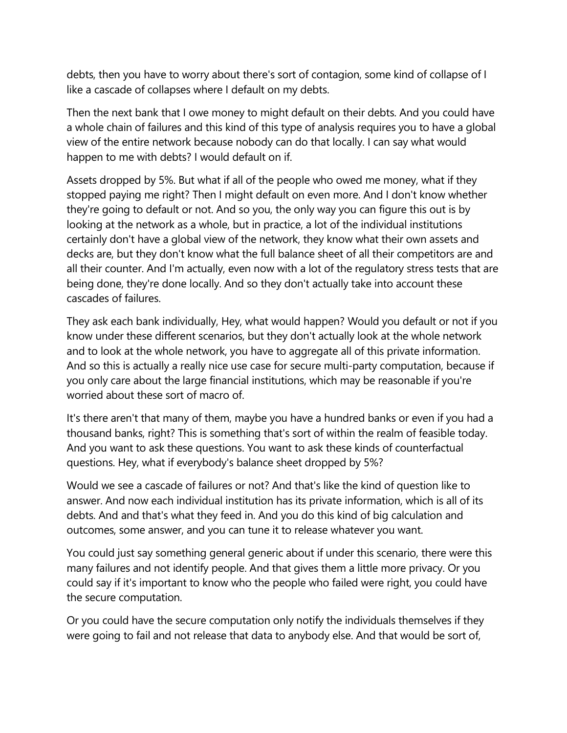debts, then you have to worry about there's sort of contagion, some kind of collapse of I like a cascade of collapses where I default on my debts.

Then the next bank that I owe money to might default on their debts. And you could have a whole chain of failures and this kind of this type of analysis requires you to have a global view of the entire network because nobody can do that locally. I can say what would happen to me with debts? I would default on if.

Assets dropped by 5%. But what if all of the people who owed me money, what if they stopped paying me right? Then I might default on even more. And I don't know whether they're going to default or not. And so you, the only way you can figure this out is by looking at the network as a whole, but in practice, a lot of the individual institutions certainly don't have a global view of the network, they know what their own assets and decks are, but they don't know what the full balance sheet of all their competitors are and all their counter. And I'm actually, even now with a lot of the regulatory stress tests that are being done, they're done locally. And so they don't actually take into account these cascades of failures.

They ask each bank individually, Hey, what would happen? Would you default or not if you know under these different scenarios, but they don't actually look at the whole network and to look at the whole network, you have to aggregate all of this private information. And so this is actually a really nice use case for secure multi-party computation, because if you only care about the large financial institutions, which may be reasonable if you're worried about these sort of macro of.

It's there aren't that many of them, maybe you have a hundred banks or even if you had a thousand banks, right? This is something that's sort of within the realm of feasible today. And you want to ask these questions. You want to ask these kinds of counterfactual questions. Hey, what if everybody's balance sheet dropped by 5%?

Would we see a cascade of failures or not? And that's like the kind of question like to answer. And now each individual institution has its private information, which is all of its debts. And and that's what they feed in. And you do this kind of big calculation and outcomes, some answer, and you can tune it to release whatever you want.

You could just say something general generic about if under this scenario, there were this many failures and not identify people. And that gives them a little more privacy. Or you could say if it's important to know who the people who failed were right, you could have the secure computation.

Or you could have the secure computation only notify the individuals themselves if they were going to fail and not release that data to anybody else. And that would be sort of,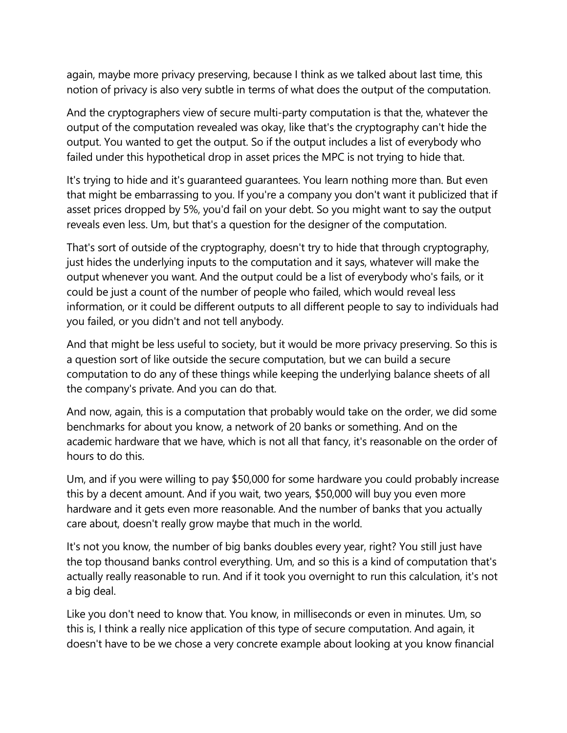again, maybe more privacy preserving, because I think as we talked about last time, this notion of privacy is also very subtle in terms of what does the output of the computation.

And the cryptographers view of secure multi-party computation is that the, whatever the output of the computation revealed was okay, like that's the cryptography can't hide the output. You wanted to get the output. So if the output includes a list of everybody who failed under this hypothetical drop in asset prices the MPC is not trying to hide that.

It's trying to hide and it's guaranteed guarantees. You learn nothing more than. But even that might be embarrassing to you. If you're a company you don't want it publicized that if asset prices dropped by 5%, you'd fail on your debt. So you might want to say the output reveals even less. Um, but that's a question for the designer of the computation.

That's sort of outside of the cryptography, doesn't try to hide that through cryptography, just hides the underlying inputs to the computation and it says, whatever will make the output whenever you want. And the output could be a list of everybody who's fails, or it could be just a count of the number of people who failed, which would reveal less information, or it could be different outputs to all different people to say to individuals had you failed, or you didn't and not tell anybody.

And that might be less useful to society, but it would be more privacy preserving. So this is a question sort of like outside the secure computation, but we can build a secure computation to do any of these things while keeping the underlying balance sheets of all the company's private. And you can do that.

And now, again, this is a computation that probably would take on the order, we did some benchmarks for about you know, a network of 20 banks or something. And on the academic hardware that we have, which is not all that fancy, it's reasonable on the order of hours to do this.

Um, and if you were willing to pay \$50,000 for some hardware you could probably increase this by a decent amount. And if you wait, two years, \$50,000 will buy you even more hardware and it gets even more reasonable. And the number of banks that you actually care about, doesn't really grow maybe that much in the world.

It's not you know, the number of big banks doubles every year, right? You still just have the top thousand banks control everything. Um, and so this is a kind of computation that's actually really reasonable to run. And if it took you overnight to run this calculation, it's not a big deal.

Like you don't need to know that. You know, in milliseconds or even in minutes. Um, so this is, I think a really nice application of this type of secure computation. And again, it doesn't have to be we chose a very concrete example about looking at you know financial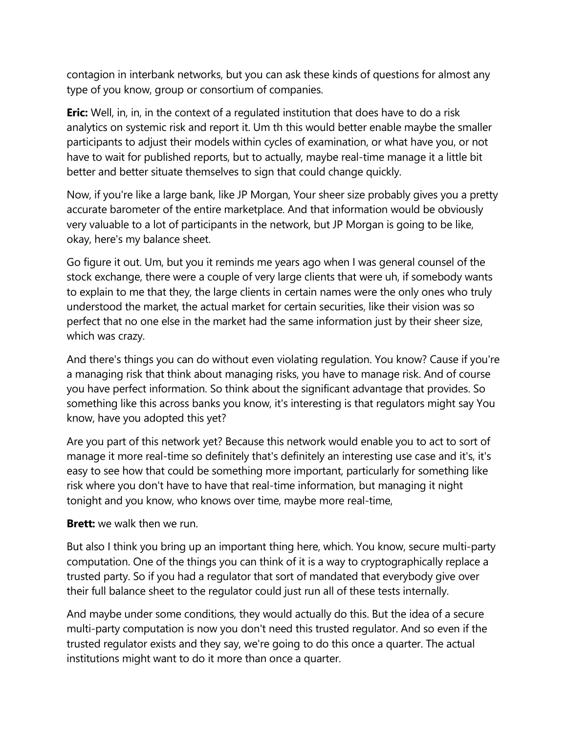contagion in interbank networks, but you can ask these kinds of questions for almost any type of you know, group or consortium of companies.

**Eric:** Well, in, in, in the context of a regulated institution that does have to do a risk analytics on systemic risk and report it. Um th this would better enable maybe the smaller participants to adjust their models within cycles of examination, or what have you, or not have to wait for published reports, but to actually, maybe real-time manage it a little bit better and better situate themselves to sign that could change quickly.

Now, if you're like a large bank, like JP Morgan, Your sheer size probably gives you a pretty accurate barometer of the entire marketplace. And that information would be obviously very valuable to a lot of participants in the network, but JP Morgan is going to be like, okay, here's my balance sheet.

Go figure it out. Um, but you it reminds me years ago when I was general counsel of the stock exchange, there were a couple of very large clients that were uh, if somebody wants to explain to me that they, the large clients in certain names were the only ones who truly understood the market, the actual market for certain securities, like their vision was so perfect that no one else in the market had the same information just by their sheer size, which was crazy.

And there's things you can do without even violating regulation. You know? Cause if you're a managing risk that think about managing risks, you have to manage risk. And of course you have perfect information. So think about the significant advantage that provides. So something like this across banks you know, it's interesting is that regulators might say You know, have you adopted this yet?

Are you part of this network yet? Because this network would enable you to act to sort of manage it more real-time so definitely that's definitely an interesting use case and it's, it's easy to see how that could be something more important, particularly for something like risk where you don't have to have that real-time information, but managing it night tonight and you know, who knows over time, maybe more real-time,

#### **Brett:** we walk then we run.

But also I think you bring up an important thing here, which. You know, secure multi-party computation. One of the things you can think of it is a way to cryptographically replace a trusted party. So if you had a regulator that sort of mandated that everybody give over their full balance sheet to the regulator could just run all of these tests internally.

And maybe under some conditions, they would actually do this. But the idea of a secure multi-party computation is now you don't need this trusted regulator. And so even if the trusted regulator exists and they say, we're going to do this once a quarter. The actual institutions might want to do it more than once a quarter.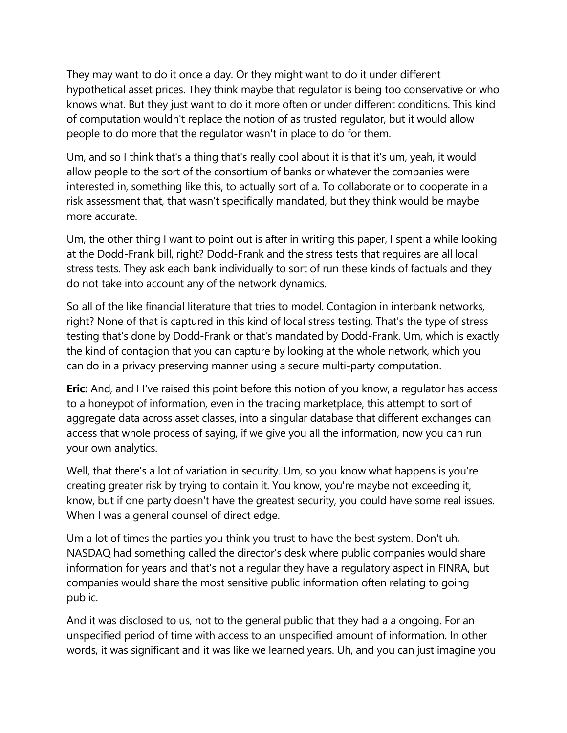They may want to do it once a day. Or they might want to do it under different hypothetical asset prices. They think maybe that regulator is being too conservative or who knows what. But they just want to do it more often or under different conditions. This kind of computation wouldn't replace the notion of as trusted regulator, but it would allow people to do more that the regulator wasn't in place to do for them.

Um, and so I think that's a thing that's really cool about it is that it's um, yeah, it would allow people to the sort of the consortium of banks or whatever the companies were interested in, something like this, to actually sort of a. To collaborate or to cooperate in a risk assessment that, that wasn't specifically mandated, but they think would be maybe more accurate.

Um, the other thing I want to point out is after in writing this paper, I spent a while looking at the Dodd-Frank bill, right? Dodd-Frank and the stress tests that requires are all local stress tests. They ask each bank individually to sort of run these kinds of factuals and they do not take into account any of the network dynamics.

So all of the like financial literature that tries to model. Contagion in interbank networks, right? None of that is captured in this kind of local stress testing. That's the type of stress testing that's done by Dodd-Frank or that's mandated by Dodd-Frank. Um, which is exactly the kind of contagion that you can capture by looking at the whole network, which you can do in a privacy preserving manner using a secure multi-party computation.

**Eric:** And, and I I've raised this point before this notion of you know, a regulator has access to a honeypot of information, even in the trading marketplace, this attempt to sort of aggregate data across asset classes, into a singular database that different exchanges can access that whole process of saying, if we give you all the information, now you can run your own analytics.

Well, that there's a lot of variation in security. Um, so you know what happens is you're creating greater risk by trying to contain it. You know, you're maybe not exceeding it, know, but if one party doesn't have the greatest security, you could have some real issues. When I was a general counsel of direct edge.

Um a lot of times the parties you think you trust to have the best system. Don't uh, NASDAQ had something called the director's desk where public companies would share information for years and that's not a regular they have a regulatory aspect in FINRA, but companies would share the most sensitive public information often relating to going public.

And it was disclosed to us, not to the general public that they had a a ongoing. For an unspecified period of time with access to an unspecified amount of information. In other words, it was significant and it was like we learned years. Uh, and you can just imagine you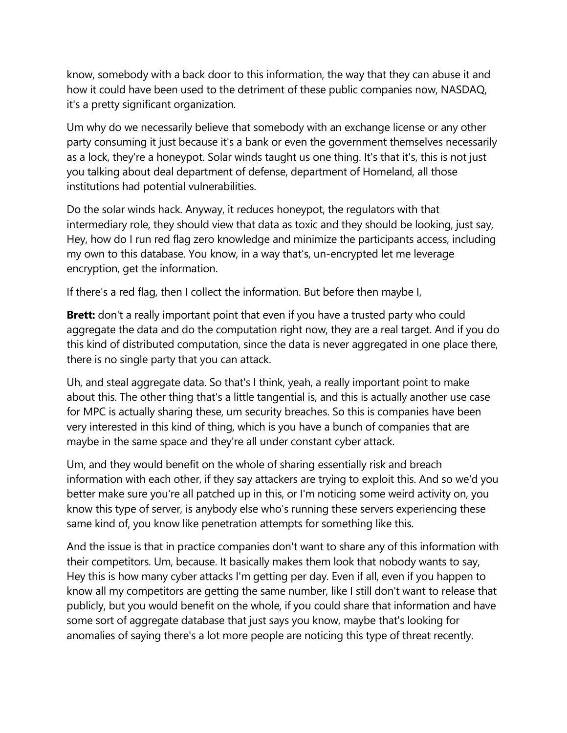know, somebody with a back door to this information, the way that they can abuse it and how it could have been used to the detriment of these public companies now, NASDAQ, it's a pretty significant organization.

Um why do we necessarily believe that somebody with an exchange license or any other party consuming it just because it's a bank or even the government themselves necessarily as a lock, they're a honeypot. Solar winds taught us one thing. It's that it's, this is not just you talking about deal department of defense, department of Homeland, all those institutions had potential vulnerabilities.

Do the solar winds hack. Anyway, it reduces honeypot, the regulators with that intermediary role, they should view that data as toxic and they should be looking, just say, Hey, how do I run red flag zero knowledge and minimize the participants access, including my own to this database. You know, in a way that's, un-encrypted let me leverage encryption, get the information.

If there's a red flag, then I collect the information. But before then maybe I,

**Brett:** don't a really important point that even if you have a trusted party who could aggregate the data and do the computation right now, they are a real target. And if you do this kind of distributed computation, since the data is never aggregated in one place there, there is no single party that you can attack.

Uh, and steal aggregate data. So that's I think, yeah, a really important point to make about this. The other thing that's a little tangential is, and this is actually another use case for MPC is actually sharing these, um security breaches. So this is companies have been very interested in this kind of thing, which is you have a bunch of companies that are maybe in the same space and they're all under constant cyber attack.

Um, and they would benefit on the whole of sharing essentially risk and breach information with each other, if they say attackers are trying to exploit this. And so we'd you better make sure you're all patched up in this, or I'm noticing some weird activity on, you know this type of server, is anybody else who's running these servers experiencing these same kind of, you know like penetration attempts for something like this.

And the issue is that in practice companies don't want to share any of this information with their competitors. Um, because. It basically makes them look that nobody wants to say, Hey this is how many cyber attacks I'm getting per day. Even if all, even if you happen to know all my competitors are getting the same number, like I still don't want to release that publicly, but you would benefit on the whole, if you could share that information and have some sort of aggregate database that just says you know, maybe that's looking for anomalies of saying there's a lot more people are noticing this type of threat recently.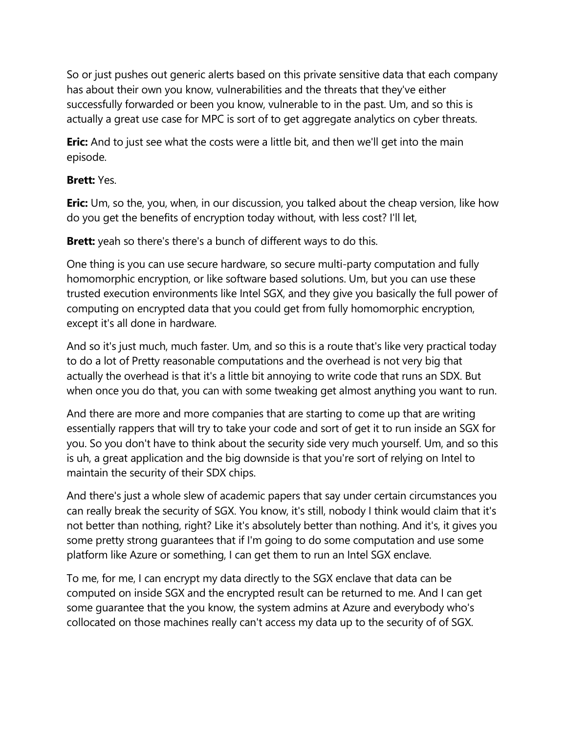So or just pushes out generic alerts based on this private sensitive data that each company has about their own you know, vulnerabilities and the threats that they've either successfully forwarded or been you know, vulnerable to in the past. Um, and so this is actually a great use case for MPC is sort of to get aggregate analytics on cyber threats.

**Eric:** And to just see what the costs were a little bit, and then we'll get into the main episode.

### **Brett:** Yes.

**Eric:** Um, so the, you, when, in our discussion, you talked about the cheap version, like how do you get the benefits of encryption today without, with less cost? I'll let,

**Brett:** yeah so there's there's a bunch of different ways to do this.

One thing is you can use secure hardware, so secure multi-party computation and fully homomorphic encryption, or like software based solutions. Um, but you can use these trusted execution environments like Intel SGX, and they give you basically the full power of computing on encrypted data that you could get from fully homomorphic encryption, except it's all done in hardware.

And so it's just much, much faster. Um, and so this is a route that's like very practical today to do a lot of Pretty reasonable computations and the overhead is not very big that actually the overhead is that it's a little bit annoying to write code that runs an SDX. But when once you do that, you can with some tweaking get almost anything you want to run.

And there are more and more companies that are starting to come up that are writing essentially rappers that will try to take your code and sort of get it to run inside an SGX for you. So you don't have to think about the security side very much yourself. Um, and so this is uh, a great application and the big downside is that you're sort of relying on Intel to maintain the security of their SDX chips.

And there's just a whole slew of academic papers that say under certain circumstances you can really break the security of SGX. You know, it's still, nobody I think would claim that it's not better than nothing, right? Like it's absolutely better than nothing. And it's, it gives you some pretty strong guarantees that if I'm going to do some computation and use some platform like Azure or something, I can get them to run an Intel SGX enclave.

To me, for me, I can encrypt my data directly to the SGX enclave that data can be computed on inside SGX and the encrypted result can be returned to me. And I can get some guarantee that the you know, the system admins at Azure and everybody who's collocated on those machines really can't access my data up to the security of of SGX.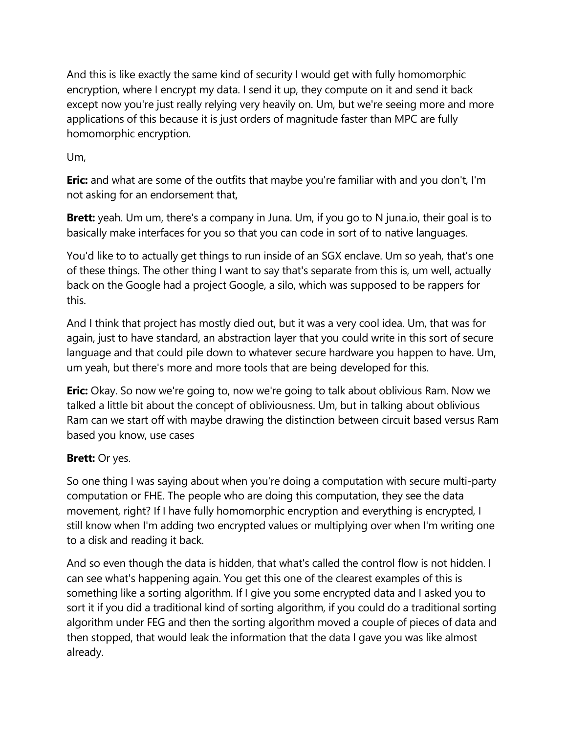And this is like exactly the same kind of security I would get with fully homomorphic encryption, where I encrypt my data. I send it up, they compute on it and send it back except now you're just really relying very heavily on. Um, but we're seeing more and more applications of this because it is just orders of magnitude faster than MPC are fully homomorphic encryption.

## Um,

**Eric:** and what are some of the outfits that maybe you're familiar with and you don't, I'm not asking for an endorsement that,

**Brett:** yeah. Um um, there's a company in Juna. Um, if you go to N juna.io, their goal is to basically make interfaces for you so that you can code in sort of to native languages.

You'd like to to actually get things to run inside of an SGX enclave. Um so yeah, that's one of these things. The other thing I want to say that's separate from this is, um well, actually back on the Google had a project Google, a silo, which was supposed to be rappers for this.

And I think that project has mostly died out, but it was a very cool idea. Um, that was for again, just to have standard, an abstraction layer that you could write in this sort of secure language and that could pile down to whatever secure hardware you happen to have. Um, um yeah, but there's more and more tools that are being developed for this.

**Eric:** Okay. So now we're going to, now we're going to talk about oblivious Ram. Now we talked a little bit about the concept of obliviousness. Um, but in talking about oblivious Ram can we start off with maybe drawing the distinction between circuit based versus Ram based you know, use cases

## **Brett:** Or yes.

So one thing I was saying about when you're doing a computation with secure multi-party computation or FHE. The people who are doing this computation, they see the data movement, right? If I have fully homomorphic encryption and everything is encrypted, I still know when I'm adding two encrypted values or multiplying over when I'm writing one to a disk and reading it back.

And so even though the data is hidden, that what's called the control flow is not hidden. I can see what's happening again. You get this one of the clearest examples of this is something like a sorting algorithm. If I give you some encrypted data and I asked you to sort it if you did a traditional kind of sorting algorithm, if you could do a traditional sorting algorithm under FEG and then the sorting algorithm moved a couple of pieces of data and then stopped, that would leak the information that the data I gave you was like almost already.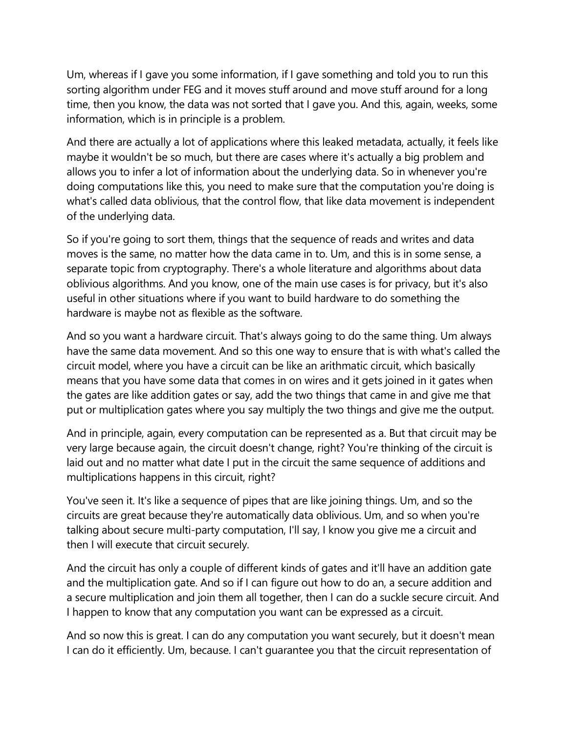Um, whereas if I gave you some information, if I gave something and told you to run this sorting algorithm under FEG and it moves stuff around and move stuff around for a long time, then you know, the data was not sorted that I gave you. And this, again, weeks, some information, which is in principle is a problem.

And there are actually a lot of applications where this leaked metadata, actually, it feels like maybe it wouldn't be so much, but there are cases where it's actually a big problem and allows you to infer a lot of information about the underlying data. So in whenever you're doing computations like this, you need to make sure that the computation you're doing is what's called data oblivious, that the control flow, that like data movement is independent of the underlying data.

So if you're going to sort them, things that the sequence of reads and writes and data moves is the same, no matter how the data came in to. Um, and this is in some sense, a separate topic from cryptography. There's a whole literature and algorithms about data oblivious algorithms. And you know, one of the main use cases is for privacy, but it's also useful in other situations where if you want to build hardware to do something the hardware is maybe not as flexible as the software.

And so you want a hardware circuit. That's always going to do the same thing. Um always have the same data movement. And so this one way to ensure that is with what's called the circuit model, where you have a circuit can be like an arithmatic circuit, which basically means that you have some data that comes in on wires and it gets joined in it gates when the gates are like addition gates or say, add the two things that came in and give me that put or multiplication gates where you say multiply the two things and give me the output.

And in principle, again, every computation can be represented as a. But that circuit may be very large because again, the circuit doesn't change, right? You're thinking of the circuit is laid out and no matter what date I put in the circuit the same sequence of additions and multiplications happens in this circuit, right?

You've seen it. It's like a sequence of pipes that are like joining things. Um, and so the circuits are great because they're automatically data oblivious. Um, and so when you're talking about secure multi-party computation, I'll say, I know you give me a circuit and then I will execute that circuit securely.

And the circuit has only a couple of different kinds of gates and it'll have an addition gate and the multiplication gate. And so if I can figure out how to do an, a secure addition and a secure multiplication and join them all together, then I can do a suckle secure circuit. And I happen to know that any computation you want can be expressed as a circuit.

And so now this is great. I can do any computation you want securely, but it doesn't mean I can do it efficiently. Um, because. I can't guarantee you that the circuit representation of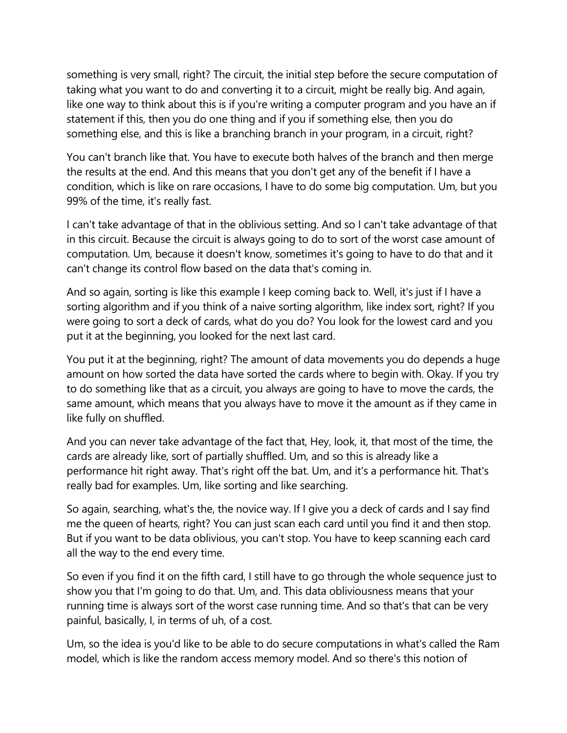something is very small, right? The circuit, the initial step before the secure computation of taking what you want to do and converting it to a circuit, might be really big. And again, like one way to think about this is if you're writing a computer program and you have an if statement if this, then you do one thing and if you if something else, then you do something else, and this is like a branching branch in your program, in a circuit, right?

You can't branch like that. You have to execute both halves of the branch and then merge the results at the end. And this means that you don't get any of the benefit if I have a condition, which is like on rare occasions, I have to do some big computation. Um, but you 99% of the time, it's really fast.

I can't take advantage of that in the oblivious setting. And so I can't take advantage of that in this circuit. Because the circuit is always going to do to sort of the worst case amount of computation. Um, because it doesn't know, sometimes it's going to have to do that and it can't change its control flow based on the data that's coming in.

And so again, sorting is like this example I keep coming back to. Well, it's just if I have a sorting algorithm and if you think of a naive sorting algorithm, like index sort, right? If you were going to sort a deck of cards, what do you do? You look for the lowest card and you put it at the beginning, you looked for the next last card.

You put it at the beginning, right? The amount of data movements you do depends a huge amount on how sorted the data have sorted the cards where to begin with. Okay. If you try to do something like that as a circuit, you always are going to have to move the cards, the same amount, which means that you always have to move it the amount as if they came in like fully on shuffled.

And you can never take advantage of the fact that, Hey, look, it, that most of the time, the cards are already like, sort of partially shuffled. Um, and so this is already like a performance hit right away. That's right off the bat. Um, and it's a performance hit. That's really bad for examples. Um, like sorting and like searching.

So again, searching, what's the, the novice way. If I give you a deck of cards and I say find me the queen of hearts, right? You can just scan each card until you find it and then stop. But if you want to be data oblivious, you can't stop. You have to keep scanning each card all the way to the end every time.

So even if you find it on the fifth card, I still have to go through the whole sequence just to show you that I'm going to do that. Um, and. This data obliviousness means that your running time is always sort of the worst case running time. And so that's that can be very painful, basically, I, in terms of uh, of a cost.

Um, so the idea is you'd like to be able to do secure computations in what's called the Ram model, which is like the random access memory model. And so there's this notion of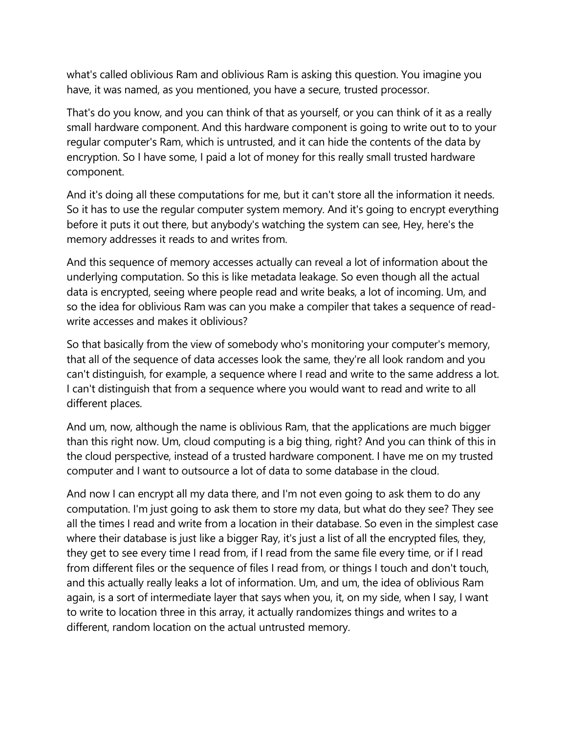what's called oblivious Ram and oblivious Ram is asking this question. You imagine you have, it was named, as you mentioned, you have a secure, trusted processor.

That's do you know, and you can think of that as yourself, or you can think of it as a really small hardware component. And this hardware component is going to write out to to your regular computer's Ram, which is untrusted, and it can hide the contents of the data by encryption. So I have some, I paid a lot of money for this really small trusted hardware component.

And it's doing all these computations for me, but it can't store all the information it needs. So it has to use the regular computer system memory. And it's going to encrypt everything before it puts it out there, but anybody's watching the system can see, Hey, here's the memory addresses it reads to and writes from.

And this sequence of memory accesses actually can reveal a lot of information about the underlying computation. So this is like metadata leakage. So even though all the actual data is encrypted, seeing where people read and write beaks, a lot of incoming. Um, and so the idea for oblivious Ram was can you make a compiler that takes a sequence of readwrite accesses and makes it oblivious?

So that basically from the view of somebody who's monitoring your computer's memory, that all of the sequence of data accesses look the same, they're all look random and you can't distinguish, for example, a sequence where I read and write to the same address a lot. I can't distinguish that from a sequence where you would want to read and write to all different places.

And um, now, although the name is oblivious Ram, that the applications are much bigger than this right now. Um, cloud computing is a big thing, right? And you can think of this in the cloud perspective, instead of a trusted hardware component. I have me on my trusted computer and I want to outsource a lot of data to some database in the cloud.

And now I can encrypt all my data there, and I'm not even going to ask them to do any computation. I'm just going to ask them to store my data, but what do they see? They see all the times I read and write from a location in their database. So even in the simplest case where their database is just like a bigger Ray, it's just a list of all the encrypted files, they, they get to see every time I read from, if I read from the same file every time, or if I read from different files or the sequence of files I read from, or things I touch and don't touch, and this actually really leaks a lot of information. Um, and um, the idea of oblivious Ram again, is a sort of intermediate layer that says when you, it, on my side, when I say, I want to write to location three in this array, it actually randomizes things and writes to a different, random location on the actual untrusted memory.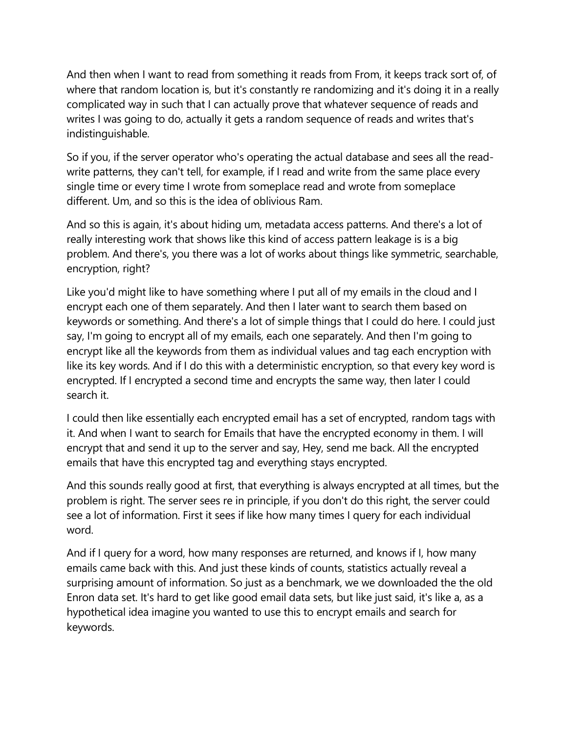And then when I want to read from something it reads from From, it keeps track sort of, of where that random location is, but it's constantly re randomizing and it's doing it in a really complicated way in such that I can actually prove that whatever sequence of reads and writes I was going to do, actually it gets a random sequence of reads and writes that's indistinguishable.

So if you, if the server operator who's operating the actual database and sees all the readwrite patterns, they can't tell, for example, if I read and write from the same place every single time or every time I wrote from someplace read and wrote from someplace different. Um, and so this is the idea of oblivious Ram.

And so this is again, it's about hiding um, metadata access patterns. And there's a lot of really interesting work that shows like this kind of access pattern leakage is is a big problem. And there's, you there was a lot of works about things like symmetric, searchable, encryption, right?

Like you'd might like to have something where I put all of my emails in the cloud and I encrypt each one of them separately. And then I later want to search them based on keywords or something. And there's a lot of simple things that I could do here. I could just say, I'm going to encrypt all of my emails, each one separately. And then I'm going to encrypt like all the keywords from them as individual values and tag each encryption with like its key words. And if I do this with a deterministic encryption, so that every key word is encrypted. If I encrypted a second time and encrypts the same way, then later I could search it.

I could then like essentially each encrypted email has a set of encrypted, random tags with it. And when I want to search for Emails that have the encrypted economy in them. I will encrypt that and send it up to the server and say, Hey, send me back. All the encrypted emails that have this encrypted tag and everything stays encrypted.

And this sounds really good at first, that everything is always encrypted at all times, but the problem is right. The server sees re in principle, if you don't do this right, the server could see a lot of information. First it sees if like how many times I query for each individual word.

And if I query for a word, how many responses are returned, and knows if I, how many emails came back with this. And just these kinds of counts, statistics actually reveal a surprising amount of information. So just as a benchmark, we we downloaded the the old Enron data set. It's hard to get like good email data sets, but like just said, it's like a, as a hypothetical idea imagine you wanted to use this to encrypt emails and search for keywords.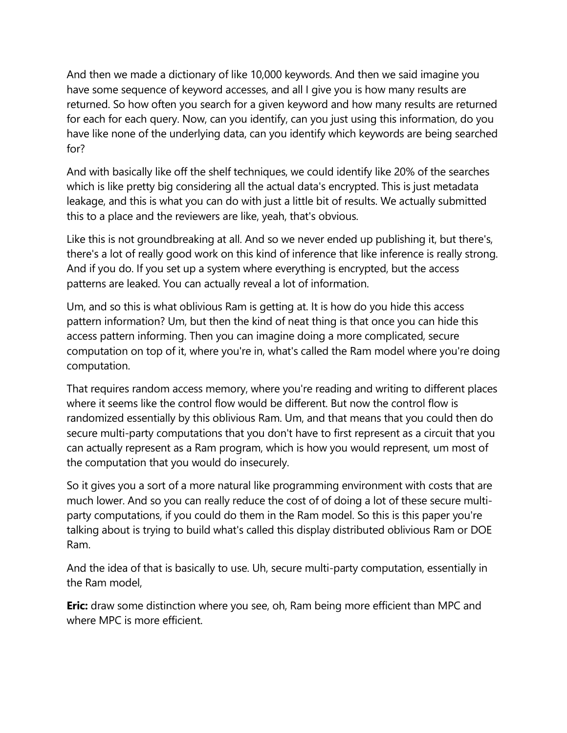And then we made a dictionary of like 10,000 keywords. And then we said imagine you have some sequence of keyword accesses, and all I give you is how many results are returned. So how often you search for a given keyword and how many results are returned for each for each query. Now, can you identify, can you just using this information, do you have like none of the underlying data, can you identify which keywords are being searched for?

And with basically like off the shelf techniques, we could identify like 20% of the searches which is like pretty big considering all the actual data's encrypted. This is just metadata leakage, and this is what you can do with just a little bit of results. We actually submitted this to a place and the reviewers are like, yeah, that's obvious.

Like this is not groundbreaking at all. And so we never ended up publishing it, but there's, there's a lot of really good work on this kind of inference that like inference is really strong. And if you do. If you set up a system where everything is encrypted, but the access patterns are leaked. You can actually reveal a lot of information.

Um, and so this is what oblivious Ram is getting at. It is how do you hide this access pattern information? Um, but then the kind of neat thing is that once you can hide this access pattern informing. Then you can imagine doing a more complicated, secure computation on top of it, where you're in, what's called the Ram model where you're doing computation.

That requires random access memory, where you're reading and writing to different places where it seems like the control flow would be different. But now the control flow is randomized essentially by this oblivious Ram. Um, and that means that you could then do secure multi-party computations that you don't have to first represent as a circuit that you can actually represent as a Ram program, which is how you would represent, um most of the computation that you would do insecurely.

So it gives you a sort of a more natural like programming environment with costs that are much lower. And so you can really reduce the cost of of doing a lot of these secure multiparty computations, if you could do them in the Ram model. So this is this paper you're talking about is trying to build what's called this display distributed oblivious Ram or DOE Ram.

And the idea of that is basically to use. Uh, secure multi-party computation, essentially in the Ram model,

**Eric:** draw some distinction where you see, oh, Ram being more efficient than MPC and where MPC is more efficient.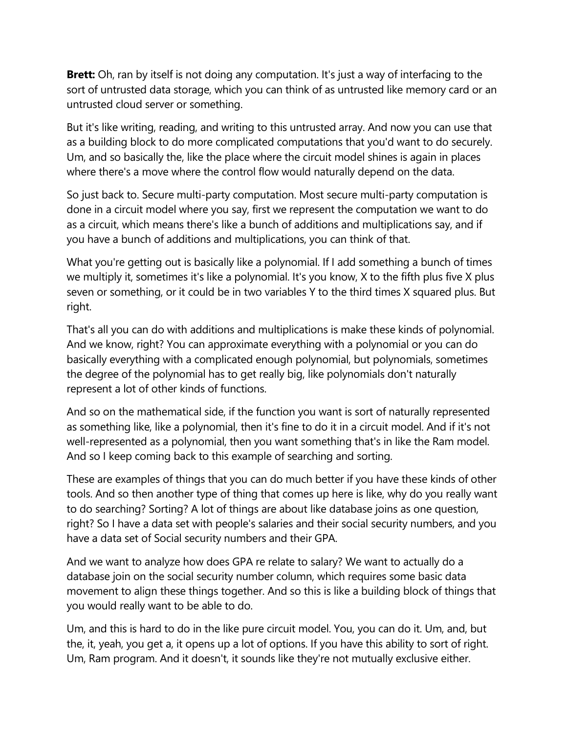**Brett:** Oh, ran by itself is not doing any computation. It's just a way of interfacing to the sort of untrusted data storage, which you can think of as untrusted like memory card or an untrusted cloud server or something.

But it's like writing, reading, and writing to this untrusted array. And now you can use that as a building block to do more complicated computations that you'd want to do securely. Um, and so basically the, like the place where the circuit model shines is again in places where there's a move where the control flow would naturally depend on the data.

So just back to. Secure multi-party computation. Most secure multi-party computation is done in a circuit model where you say, first we represent the computation we want to do as a circuit, which means there's like a bunch of additions and multiplications say, and if you have a bunch of additions and multiplications, you can think of that.

What you're getting out is basically like a polynomial. If I add something a bunch of times we multiply it, sometimes it's like a polynomial. It's you know, X to the fifth plus five X plus seven or something, or it could be in two variables Y to the third times X squared plus. But right.

That's all you can do with additions and multiplications is make these kinds of polynomial. And we know, right? You can approximate everything with a polynomial or you can do basically everything with a complicated enough polynomial, but polynomials, sometimes the degree of the polynomial has to get really big, like polynomials don't naturally represent a lot of other kinds of functions.

And so on the mathematical side, if the function you want is sort of naturally represented as something like, like a polynomial, then it's fine to do it in a circuit model. And if it's not well-represented as a polynomial, then you want something that's in like the Ram model. And so I keep coming back to this example of searching and sorting.

These are examples of things that you can do much better if you have these kinds of other tools. And so then another type of thing that comes up here is like, why do you really want to do searching? Sorting? A lot of things are about like database joins as one question, right? So I have a data set with people's salaries and their social security numbers, and you have a data set of Social security numbers and their GPA.

And we want to analyze how does GPA re relate to salary? We want to actually do a database join on the social security number column, which requires some basic data movement to align these things together. And so this is like a building block of things that you would really want to be able to do.

Um, and this is hard to do in the like pure circuit model. You, you can do it. Um, and, but the, it, yeah, you get a, it opens up a lot of options. If you have this ability to sort of right. Um, Ram program. And it doesn't, it sounds like they're not mutually exclusive either.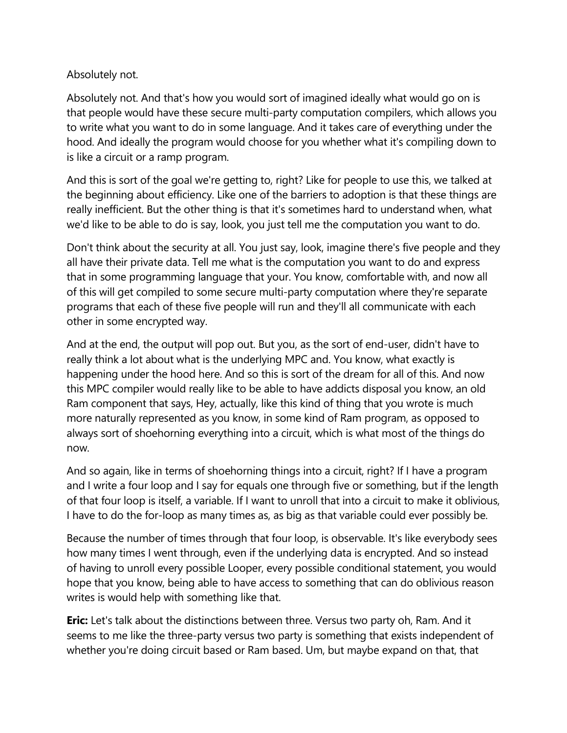### Absolutely not.

Absolutely not. And that's how you would sort of imagined ideally what would go on is that people would have these secure multi-party computation compilers, which allows you to write what you want to do in some language. And it takes care of everything under the hood. And ideally the program would choose for you whether what it's compiling down to is like a circuit or a ramp program.

And this is sort of the goal we're getting to, right? Like for people to use this, we talked at the beginning about efficiency. Like one of the barriers to adoption is that these things are really inefficient. But the other thing is that it's sometimes hard to understand when, what we'd like to be able to do is say, look, you just tell me the computation you want to do.

Don't think about the security at all. You just say, look, imagine there's five people and they all have their private data. Tell me what is the computation you want to do and express that in some programming language that your. You know, comfortable with, and now all of this will get compiled to some secure multi-party computation where they're separate programs that each of these five people will run and they'll all communicate with each other in some encrypted way.

And at the end, the output will pop out. But you, as the sort of end-user, didn't have to really think a lot about what is the underlying MPC and. You know, what exactly is happening under the hood here. And so this is sort of the dream for all of this. And now this MPC compiler would really like to be able to have addicts disposal you know, an old Ram component that says, Hey, actually, like this kind of thing that you wrote is much more naturally represented as you know, in some kind of Ram program, as opposed to always sort of shoehorning everything into a circuit, which is what most of the things do now.

And so again, like in terms of shoehorning things into a circuit, right? If I have a program and I write a four loop and I say for equals one through five or something, but if the length of that four loop is itself, a variable. If I want to unroll that into a circuit to make it oblivious, I have to do the for-loop as many times as, as big as that variable could ever possibly be.

Because the number of times through that four loop, is observable. It's like everybody sees how many times I went through, even if the underlying data is encrypted. And so instead of having to unroll every possible Looper, every possible conditional statement, you would hope that you know, being able to have access to something that can do oblivious reason writes is would help with something like that.

**Eric:** Let's talk about the distinctions between three. Versus two party oh, Ram. And it seems to me like the three-party versus two party is something that exists independent of whether you're doing circuit based or Ram based. Um, but maybe expand on that, that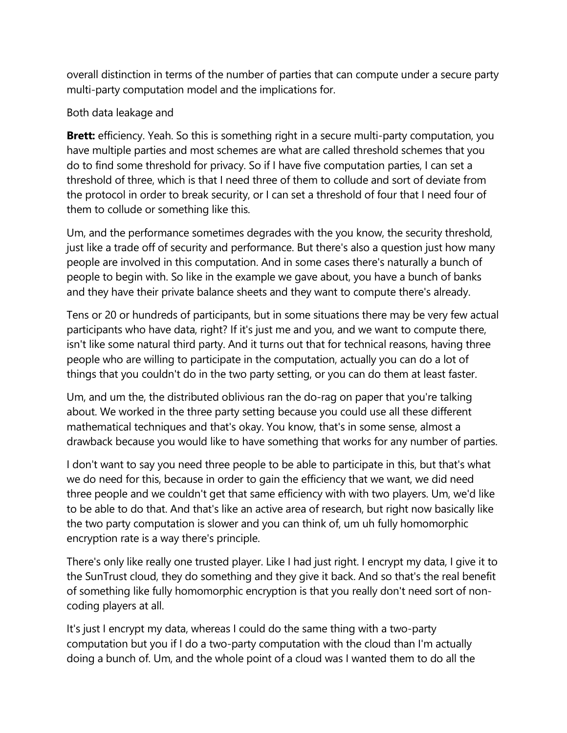overall distinction in terms of the number of parties that can compute under a secure party multi-party computation model and the implications for.

#### Both data leakage and

**Brett:** efficiency. Yeah. So this is something right in a secure multi-party computation, you have multiple parties and most schemes are what are called threshold schemes that you do to find some threshold for privacy. So if I have five computation parties, I can set a threshold of three, which is that I need three of them to collude and sort of deviate from the protocol in order to break security, or I can set a threshold of four that I need four of them to collude or something like this.

Um, and the performance sometimes degrades with the you know, the security threshold, just like a trade off of security and performance. But there's also a question just how many people are involved in this computation. And in some cases there's naturally a bunch of people to begin with. So like in the example we gave about, you have a bunch of banks and they have their private balance sheets and they want to compute there's already.

Tens or 20 or hundreds of participants, but in some situations there may be very few actual participants who have data, right? If it's just me and you, and we want to compute there, isn't like some natural third party. And it turns out that for technical reasons, having three people who are willing to participate in the computation, actually you can do a lot of things that you couldn't do in the two party setting, or you can do them at least faster.

Um, and um the, the distributed oblivious ran the do-rag on paper that you're talking about. We worked in the three party setting because you could use all these different mathematical techniques and that's okay. You know, that's in some sense, almost a drawback because you would like to have something that works for any number of parties.

I don't want to say you need three people to be able to participate in this, but that's what we do need for this, because in order to gain the efficiency that we want, we did need three people and we couldn't get that same efficiency with with two players. Um, we'd like to be able to do that. And that's like an active area of research, but right now basically like the two party computation is slower and you can think of, um uh fully homomorphic encryption rate is a way there's principle.

There's only like really one trusted player. Like I had just right. I encrypt my data, I give it to the SunTrust cloud, they do something and they give it back. And so that's the real benefit of something like fully homomorphic encryption is that you really don't need sort of noncoding players at all.

It's just I encrypt my data, whereas I could do the same thing with a two-party computation but you if I do a two-party computation with the cloud than I'm actually doing a bunch of. Um, and the whole point of a cloud was I wanted them to do all the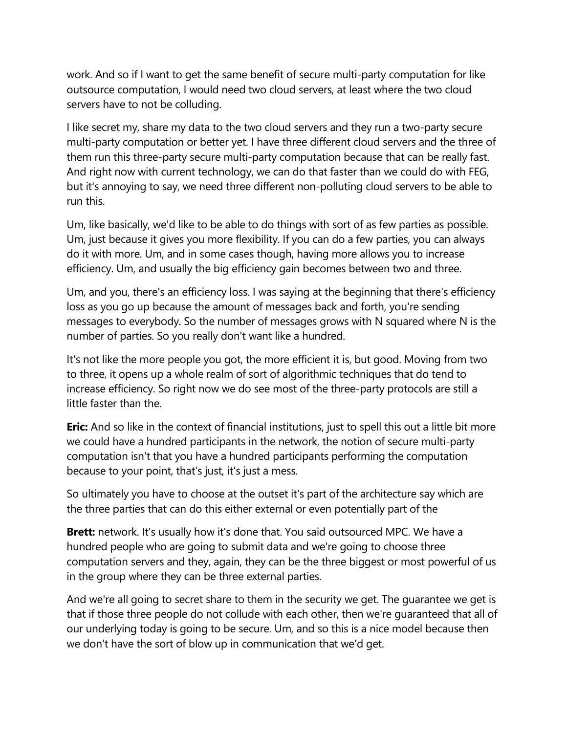work. And so if I want to get the same benefit of secure multi-party computation for like outsource computation, I would need two cloud servers, at least where the two cloud servers have to not be colluding.

I like secret my, share my data to the two cloud servers and they run a two-party secure multi-party computation or better yet. I have three different cloud servers and the three of them run this three-party secure multi-party computation because that can be really fast. And right now with current technology, we can do that faster than we could do with FEG, but it's annoying to say, we need three different non-polluting cloud servers to be able to run this.

Um, like basically, we'd like to be able to do things with sort of as few parties as possible. Um, just because it gives you more flexibility. If you can do a few parties, you can always do it with more. Um, and in some cases though, having more allows you to increase efficiency. Um, and usually the big efficiency gain becomes between two and three.

Um, and you, there's an efficiency loss. I was saying at the beginning that there's efficiency loss as you go up because the amount of messages back and forth, you're sending messages to everybody. So the number of messages grows with N squared where N is the number of parties. So you really don't want like a hundred.

It's not like the more people you got, the more efficient it is, but good. Moving from two to three, it opens up a whole realm of sort of algorithmic techniques that do tend to increase efficiency. So right now we do see most of the three-party protocols are still a little faster than the.

**Eric:** And so like in the context of financial institutions, just to spell this out a little bit more we could have a hundred participants in the network, the notion of secure multi-party computation isn't that you have a hundred participants performing the computation because to your point, that's just, it's just a mess.

So ultimately you have to choose at the outset it's part of the architecture say which are the three parties that can do this either external or even potentially part of the

**Brett:** network. It's usually how it's done that. You said outsourced MPC. We have a hundred people who are going to submit data and we're going to choose three computation servers and they, again, they can be the three biggest or most powerful of us in the group where they can be three external parties.

And we're all going to secret share to them in the security we get. The guarantee we get is that if those three people do not collude with each other, then we're guaranteed that all of our underlying today is going to be secure. Um, and so this is a nice model because then we don't have the sort of blow up in communication that we'd get.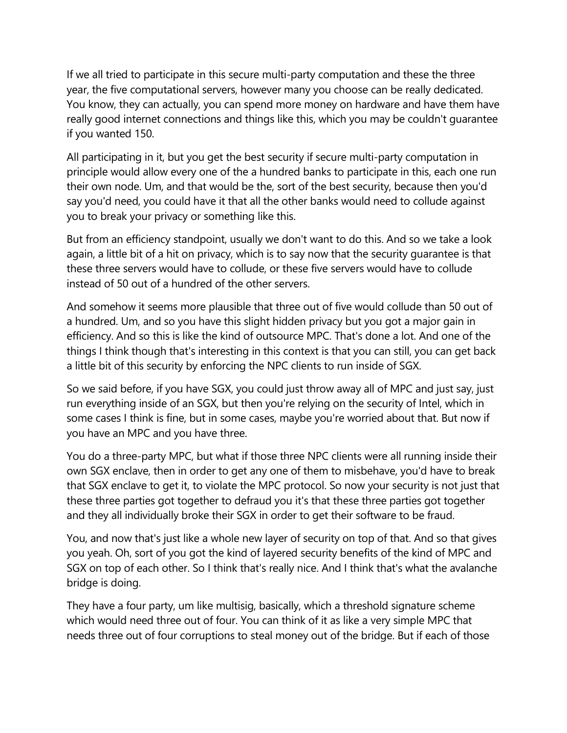If we all tried to participate in this secure multi-party computation and these the three year, the five computational servers, however many you choose can be really dedicated. You know, they can actually, you can spend more money on hardware and have them have really good internet connections and things like this, which you may be couldn't guarantee if you wanted 150.

All participating in it, but you get the best security if secure multi-party computation in principle would allow every one of the a hundred banks to participate in this, each one run their own node. Um, and that would be the, sort of the best security, because then you'd say you'd need, you could have it that all the other banks would need to collude against you to break your privacy or something like this.

But from an efficiency standpoint, usually we don't want to do this. And so we take a look again, a little bit of a hit on privacy, which is to say now that the security guarantee is that these three servers would have to collude, or these five servers would have to collude instead of 50 out of a hundred of the other servers.

And somehow it seems more plausible that three out of five would collude than 50 out of a hundred. Um, and so you have this slight hidden privacy but you got a major gain in efficiency. And so this is like the kind of outsource MPC. That's done a lot. And one of the things I think though that's interesting in this context is that you can still, you can get back a little bit of this security by enforcing the NPC clients to run inside of SGX.

So we said before, if you have SGX, you could just throw away all of MPC and just say, just run everything inside of an SGX, but then you're relying on the security of Intel, which in some cases I think is fine, but in some cases, maybe you're worried about that. But now if you have an MPC and you have three.

You do a three-party MPC, but what if those three NPC clients were all running inside their own SGX enclave, then in order to get any one of them to misbehave, you'd have to break that SGX enclave to get it, to violate the MPC protocol. So now your security is not just that these three parties got together to defraud you it's that these three parties got together and they all individually broke their SGX in order to get their software to be fraud.

You, and now that's just like a whole new layer of security on top of that. And so that gives you yeah. Oh, sort of you got the kind of layered security benefits of the kind of MPC and SGX on top of each other. So I think that's really nice. And I think that's what the avalanche bridge is doing.

They have a four party, um like multisig, basically, which a threshold signature scheme which would need three out of four. You can think of it as like a very simple MPC that needs three out of four corruptions to steal money out of the bridge. But if each of those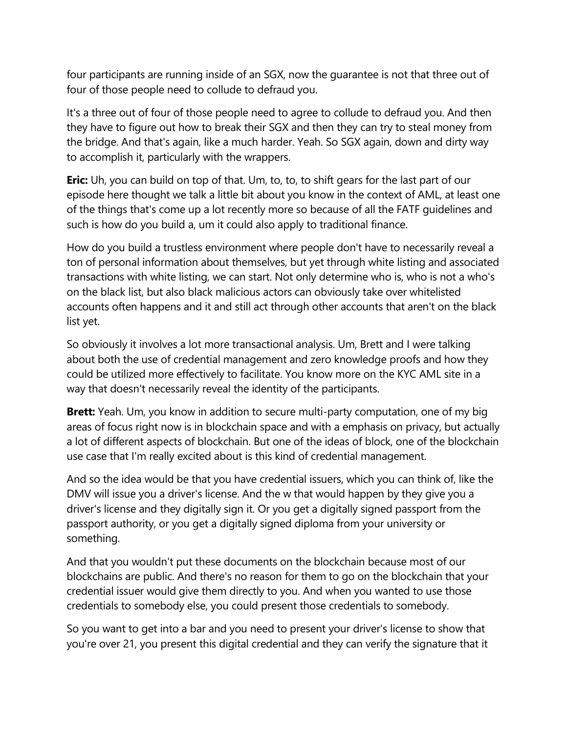four participants are running inside of an SGX, now the guarantee is not that three out of four of those people need to collude to defraud you.

It's a three out of four of those people need to agree to collude to defraud you. And then they have to figure out how to break their SGX and then they can try to steal money from the bridge. And that's again, like a much harder. Yeah. So SGX again, down and dirty way to accomplish it, particularly with the wrappers.

**Eric:** Uh, you can build on top of that. Um, to, to, to shift gears for the last part of our episode here thought we talk a little bit about you know in the context of AML, at least one of the things that's come up a lot recently more so because of all the FATF guidelines and such is how do you build a, um it could also apply to traditional finance.

How do you build a trustless environment where people don't have to necessarily reveal a ton of personal information about themselves, but yet through white listing and associated transactions with white listing, we can start. Not only determine who is, who is not a who's on the black list, but also black malicious actors can obviously take over whitelisted accounts often happens and it and still act through other accounts that aren't on the black list yet.

So obviously it involves a lot more transactional analysis. Um, Brett and I were talking about both the use of credential management and zero knowledge proofs and how they could be utilized more effectively to facilitate. You know more on the KYC AML site in a way that doesn't necessarily reveal the identity of the participants.

**Brett:** Yeah. Um, you know in addition to secure multi-party computation, one of my big areas of focus right now is in blockchain space and with a emphasis on privacy, but actually a lot of different aspects of blockchain. But one of the ideas of block, one of the blockchain use case that I'm really excited about is this kind of credential management.

And so the idea would be that you have credential issuers, which you can think of, like the DMV will issue you a driver's license. And the w that would happen by they give you a driver's license and they digitally sign it. Or you get a digitally signed passport from the passport authority, or you get a digitally signed diploma from your university or something.

And that you wouldn't put these documents on the blockchain because most of our blockchains are public. And there's no reason for them to go on the blockchain that your credential issuer would give them directly to you. And when you wanted to use those credentials to somebody else, you could present those credentials to somebody.

So you want to get into a bar and you need to present your driver's license to show that you're over 21, you present this digital credential and they can verify the signature that it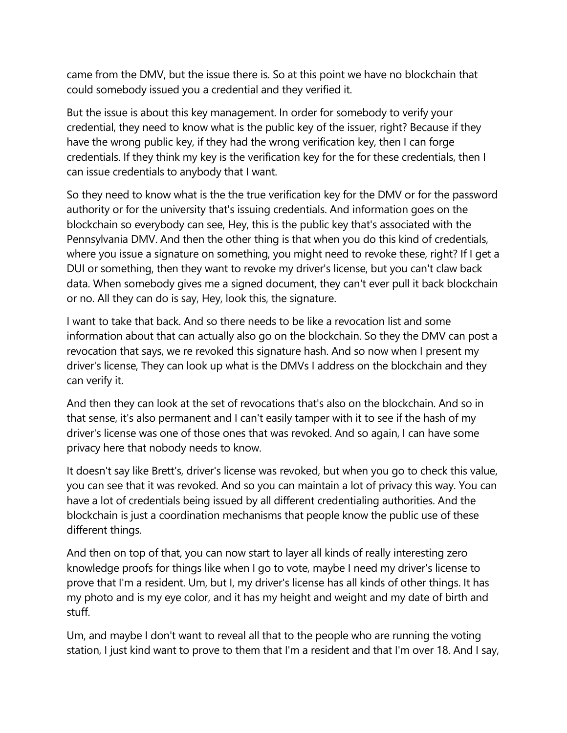came from the DMV, but the issue there is. So at this point we have no blockchain that could somebody issued you a credential and they verified it.

But the issue is about this key management. In order for somebody to verify your credential, they need to know what is the public key of the issuer, right? Because if they have the wrong public key, if they had the wrong verification key, then I can forge credentials. If they think my key is the verification key for the for these credentials, then I can issue credentials to anybody that I want.

So they need to know what is the the true verification key for the DMV or for the password authority or for the university that's issuing credentials. And information goes on the blockchain so everybody can see, Hey, this is the public key that's associated with the Pennsylvania DMV. And then the other thing is that when you do this kind of credentials, where you issue a signature on something, you might need to revoke these, right? If I get a DUI or something, then they want to revoke my driver's license, but you can't claw back data. When somebody gives me a signed document, they can't ever pull it back blockchain or no. All they can do is say, Hey, look this, the signature.

I want to take that back. And so there needs to be like a revocation list and some information about that can actually also go on the blockchain. So they the DMV can post a revocation that says, we re revoked this signature hash. And so now when I present my driver's license, They can look up what is the DMVs I address on the blockchain and they can verify it.

And then they can look at the set of revocations that's also on the blockchain. And so in that sense, it's also permanent and I can't easily tamper with it to see if the hash of my driver's license was one of those ones that was revoked. And so again, I can have some privacy here that nobody needs to know.

It doesn't say like Brett's, driver's license was revoked, but when you go to check this value, you can see that it was revoked. And so you can maintain a lot of privacy this way. You can have a lot of credentials being issued by all different credentialing authorities. And the blockchain is just a coordination mechanisms that people know the public use of these different things.

And then on top of that, you can now start to layer all kinds of really interesting zero knowledge proofs for things like when I go to vote, maybe I need my driver's license to prove that I'm a resident. Um, but I, my driver's license has all kinds of other things. It has my photo and is my eye color, and it has my height and weight and my date of birth and stuff.

Um, and maybe I don't want to reveal all that to the people who are running the voting station, I just kind want to prove to them that I'm a resident and that I'm over 18. And I say,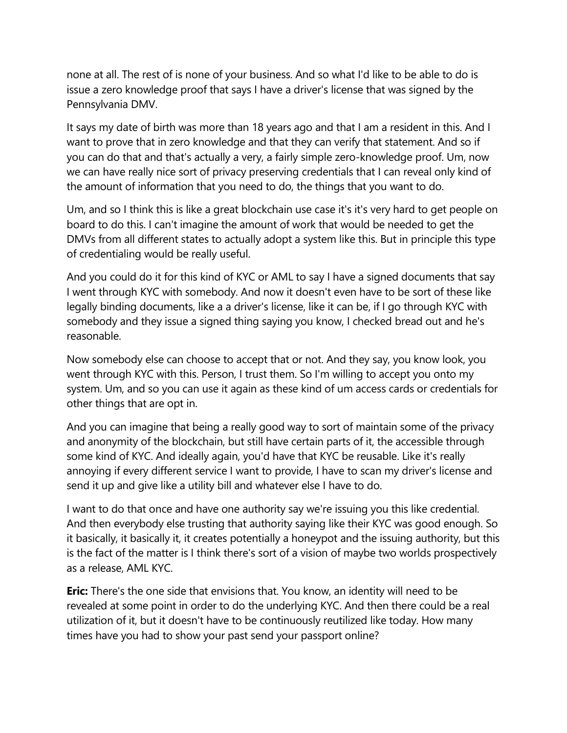none at all. The rest of is none of your business. And so what I'd like to be able to do is issue a zero knowledge proof that says I have a driver's license that was signed by the Pennsylvania DMV.

It says my date of birth was more than 18 years ago and that I am a resident in this. And I want to prove that in zero knowledge and that they can verify that statement. And so if you can do that and that's actually a very, a fairly simple zero-knowledge proof. Um, now we can have really nice sort of privacy preserving credentials that I can reveal only kind of the amount of information that you need to do, the things that you want to do.

Um, and so I think this is like a great blockchain use case it's it's very hard to get people on board to do this. I can't imagine the amount of work that would be needed to get the DMVs from all different states to actually adopt a system like this. But in principle this type of credentialing would be really useful.

And you could do it for this kind of KYC or AML to say I have a signed documents that say I went through KYC with somebody. And now it doesn't even have to be sort of these like legally binding documents, like a a driver's license, like it can be, if I go through KYC with somebody and they issue a signed thing saying you know, I checked bread out and he's reasonable.

Now somebody else can choose to accept that or not. And they say, you know look, you went through KYC with this. Person, I trust them. So I'm willing to accept you onto my system. Um, and so you can use it again as these kind of um access cards or credentials for other things that are opt in.

And you can imagine that being a really good way to sort of maintain some of the privacy and anonymity of the blockchain, but still have certain parts of it, the accessible through some kind of KYC. And ideally again, you'd have that KYC be reusable. Like it's really annoying if every different service I want to provide, I have to scan my driver's license and send it up and give like a utility bill and whatever else I have to do.

I want to do that once and have one authority say we're issuing you this like credential. And then everybody else trusting that authority saying like their KYC was good enough. So it basically, it basically it, it creates potentially a honeypot and the issuing authority, but this is the fact of the matter is I think there's sort of a vision of maybe two worlds prospectively as a release, AML KYC.

**Eric:** There's the one side that envisions that. You know, an identity will need to be revealed at some point in order to do the underlying KYC. And then there could be a real utilization of it, but it doesn't have to be continuously reutilized like today. How many times have you had to show your past send your passport online?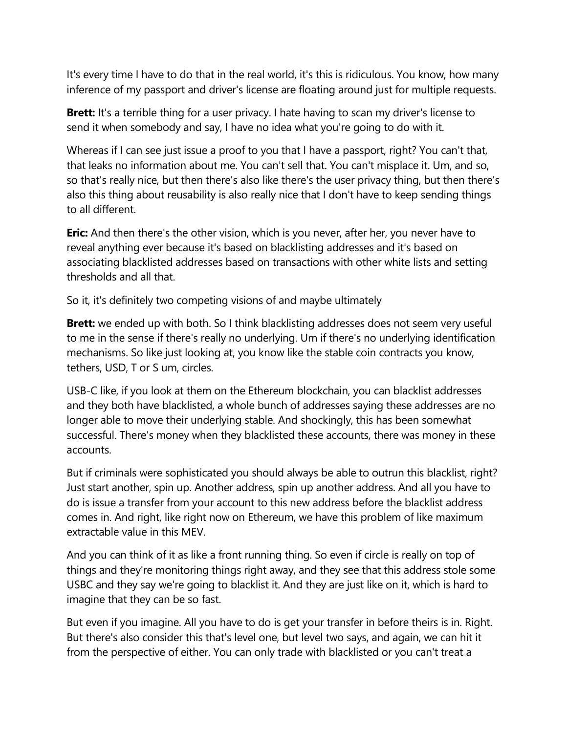It's every time I have to do that in the real world, it's this is ridiculous. You know, how many inference of my passport and driver's license are floating around just for multiple requests.

**Brett:** It's a terrible thing for a user privacy. I hate having to scan my driver's license to send it when somebody and say, I have no idea what you're going to do with it.

Whereas if I can see just issue a proof to you that I have a passport, right? You can't that, that leaks no information about me. You can't sell that. You can't misplace it. Um, and so, so that's really nice, but then there's also like there's the user privacy thing, but then there's also this thing about reusability is also really nice that I don't have to keep sending things to all different.

**Eric:** And then there's the other vision, which is you never, after her, you never have to reveal anything ever because it's based on blacklisting addresses and it's based on associating blacklisted addresses based on transactions with other white lists and setting thresholds and all that.

So it, it's definitely two competing visions of and maybe ultimately

**Brett:** we ended up with both. So I think blacklisting addresses does not seem very useful to me in the sense if there's really no underlying. Um if there's no underlying identification mechanisms. So like just looking at, you know like the stable coin contracts you know, tethers, USD, T or S um, circles.

USB-C like, if you look at them on the Ethereum blockchain, you can blacklist addresses and they both have blacklisted, a whole bunch of addresses saying these addresses are no longer able to move their underlying stable. And shockingly, this has been somewhat successful. There's money when they blacklisted these accounts, there was money in these accounts.

But if criminals were sophisticated you should always be able to outrun this blacklist, right? Just start another, spin up. Another address, spin up another address. And all you have to do is issue a transfer from your account to this new address before the blacklist address comes in. And right, like right now on Ethereum, we have this problem of like maximum extractable value in this MEV.

And you can think of it as like a front running thing. So even if circle is really on top of things and they're monitoring things right away, and they see that this address stole some USBC and they say we're going to blacklist it. And they are just like on it, which is hard to imagine that they can be so fast.

But even if you imagine. All you have to do is get your transfer in before theirs is in. Right. But there's also consider this that's level one, but level two says, and again, we can hit it from the perspective of either. You can only trade with blacklisted or you can't treat a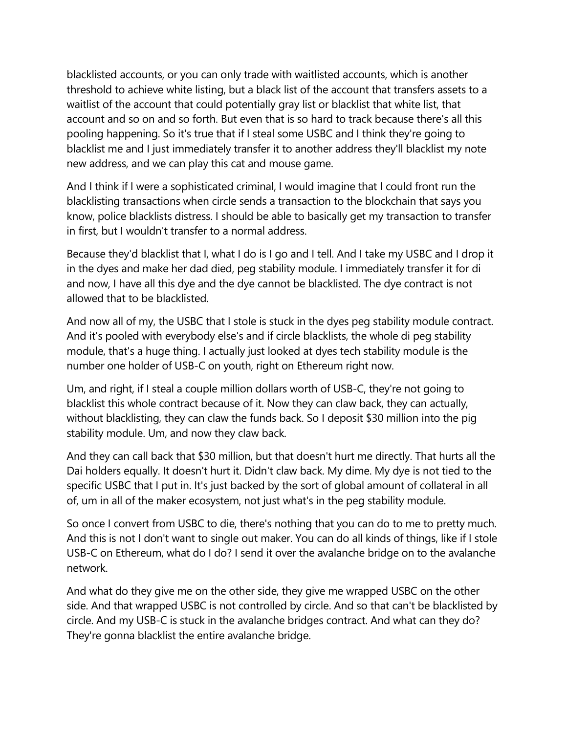blacklisted accounts, or you can only trade with waitlisted accounts, which is another threshold to achieve white listing, but a black list of the account that transfers assets to a waitlist of the account that could potentially gray list or blacklist that white list, that account and so on and so forth. But even that is so hard to track because there's all this pooling happening. So it's true that if I steal some USBC and I think they're going to blacklist me and I just immediately transfer it to another address they'll blacklist my note new address, and we can play this cat and mouse game.

And I think if I were a sophisticated criminal, I would imagine that I could front run the blacklisting transactions when circle sends a transaction to the blockchain that says you know, police blacklists distress. I should be able to basically get my transaction to transfer in first, but I wouldn't transfer to a normal address.

Because they'd blacklist that I, what I do is I go and I tell. And I take my USBC and I drop it in the dyes and make her dad died, peg stability module. I immediately transfer it for di and now, I have all this dye and the dye cannot be blacklisted. The dye contract is not allowed that to be blacklisted.

And now all of my, the USBC that I stole is stuck in the dyes peg stability module contract. And it's pooled with everybody else's and if circle blacklists, the whole di peg stability module, that's a huge thing. I actually just looked at dyes tech stability module is the number one holder of USB-C on youth, right on Ethereum right now.

Um, and right, if I steal a couple million dollars worth of USB-C, they're not going to blacklist this whole contract because of it. Now they can claw back, they can actually, without blacklisting, they can claw the funds back. So I deposit \$30 million into the pig stability module. Um, and now they claw back.

And they can call back that \$30 million, but that doesn't hurt me directly. That hurts all the Dai holders equally. It doesn't hurt it. Didn't claw back. My dime. My dye is not tied to the specific USBC that I put in. It's just backed by the sort of global amount of collateral in all of, um in all of the maker ecosystem, not just what's in the peg stability module.

So once I convert from USBC to die, there's nothing that you can do to me to pretty much. And this is not I don't want to single out maker. You can do all kinds of things, like if I stole USB-C on Ethereum, what do I do? I send it over the avalanche bridge on to the avalanche network.

And what do they give me on the other side, they give me wrapped USBC on the other side. And that wrapped USBC is not controlled by circle. And so that can't be blacklisted by circle. And my USB-C is stuck in the avalanche bridges contract. And what can they do? They're gonna blacklist the entire avalanche bridge.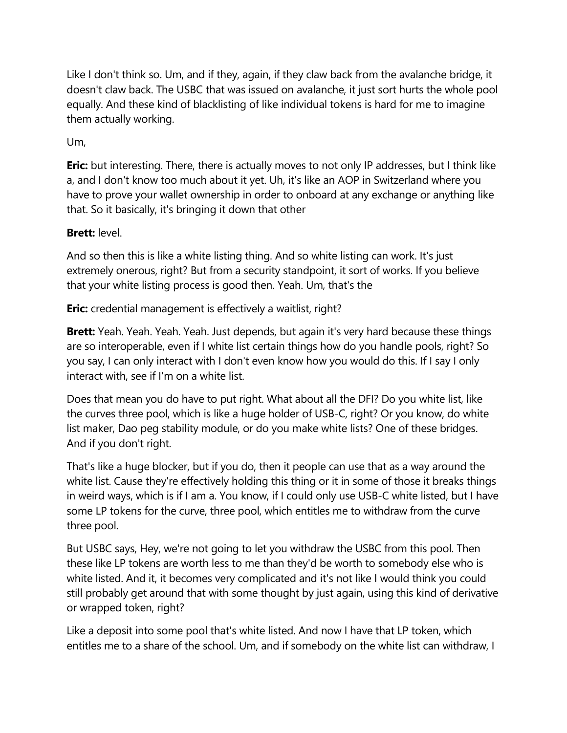Like I don't think so. Um, and if they, again, if they claw back from the avalanche bridge, it doesn't claw back. The USBC that was issued on avalanche, it just sort hurts the whole pool equally. And these kind of blacklisting of like individual tokens is hard for me to imagine them actually working.

Um,

**Eric:** but interesting. There, there is actually moves to not only IP addresses, but I think like a, and I don't know too much about it yet. Uh, it's like an AOP in Switzerland where you have to prove your wallet ownership in order to onboard at any exchange or anything like that. So it basically, it's bringing it down that other

# **Brett:** level.

And so then this is like a white listing thing. And so white listing can work. It's just extremely onerous, right? But from a security standpoint, it sort of works. If you believe that your white listing process is good then. Yeah. Um, that's the

**Eric:** credential management is effectively a waitlist, right?

**Brett:** Yeah. Yeah. Yeah. Yeah. Just depends, but again it's very hard because these things are so interoperable, even if I white list certain things how do you handle pools, right? So you say, I can only interact with I don't even know how you would do this. If I say I only interact with, see if I'm on a white list.

Does that mean you do have to put right. What about all the DFI? Do you white list, like the curves three pool, which is like a huge holder of USB-C, right? Or you know, do white list maker, Dao peg stability module, or do you make white lists? One of these bridges. And if you don't right.

That's like a huge blocker, but if you do, then it people can use that as a way around the white list. Cause they're effectively holding this thing or it in some of those it breaks things in weird ways, which is if I am a. You know, if I could only use USB-C white listed, but I have some LP tokens for the curve, three pool, which entitles me to withdraw from the curve three pool.

But USBC says, Hey, we're not going to let you withdraw the USBC from this pool. Then these like LP tokens are worth less to me than they'd be worth to somebody else who is white listed. And it, it becomes very complicated and it's not like I would think you could still probably get around that with some thought by just again, using this kind of derivative or wrapped token, right?

Like a deposit into some pool that's white listed. And now I have that LP token, which entitles me to a share of the school. Um, and if somebody on the white list can withdraw, I